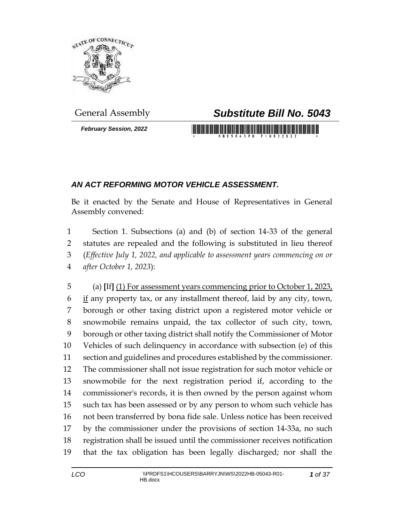

*February Session, 2022*

## General Assembly *Substitute Bill No. 5043*

## *AN ACT REFORMING MOTOR VEHICLE ASSESSMENT.*

Be it enacted by the Senate and House of Representatives in General Assembly convened:

 Section 1. Subsections (a) and (b) of section 14-33 of the general statutes are repealed and the following is substituted in lieu thereof (*Effective July 1, 2022, and applicable to assessment years commencing on or after October 1, 2023*):

 (a) **[**If**]** (1) For assessment years commencing prior to October 1, 2023, if any property tax, or any installment thereof, laid by any city, town, borough or other taxing district upon a registered motor vehicle or snowmobile remains unpaid, the tax collector of such city, town, borough or other taxing district shall notify the Commissioner of Motor Vehicles of such delinquency in accordance with subsection (e) of this section and guidelines and procedures established by the commissioner. The commissioner shall not issue registration for such motor vehicle or snowmobile for the next registration period if, according to the commissioner's records, it is then owned by the person against whom such tax has been assessed or by any person to whom such vehicle has not been transferred by bona fide sale. Unless notice has been received by the commissioner under the provisions of section 14-33a, no such registration shall be issued until the commissioner receives notification that the tax obligation has been legally discharged; nor shall the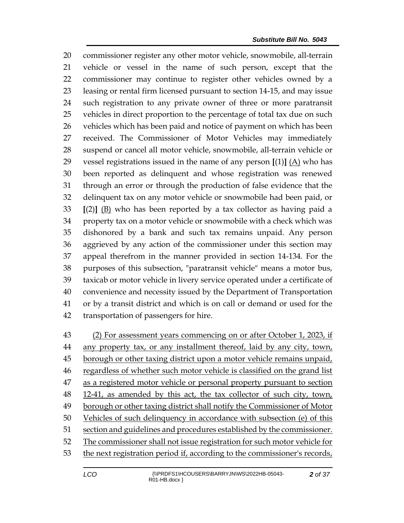commissioner register any other motor vehicle, snowmobile, all-terrain vehicle or vessel in the name of such person, except that the commissioner may continue to register other vehicles owned by a leasing or rental firm licensed pursuant to section 14-15, and may issue such registration to any private owner of three or more paratransit vehicles in direct proportion to the percentage of total tax due on such vehicles which has been paid and notice of payment on which has been received. The Commissioner of Motor Vehicles may immediately suspend or cancel all motor vehicle, snowmobile, all-terrain vehicle or 29 vessel registrations issued in the name of any person  $[(1)]$   $(A)$  who has been reported as delinquent and whose registration was renewed through an error or through the production of false evidence that the delinquent tax on any motor vehicle or snowmobile had been paid, or **[**(2)**]** (B) who has been reported by a tax collector as having paid a property tax on a motor vehicle or snowmobile with a check which was dishonored by a bank and such tax remains unpaid. Any person aggrieved by any action of the commissioner under this section may appeal therefrom in the manner provided in section 14-134. For the purposes of this subsection, "paratransit vehicle" means a motor bus, taxicab or motor vehicle in livery service operated under a certificate of convenience and necessity issued by the Department of Transportation or by a transit district and which is on call or demand or used for the transportation of passengers for hire.

 (2) For assessment years commencing on or after October 1, 2023, if 44 any property tax, or any installment thereof, laid by any city, town, 45 borough or other taxing district upon a motor vehicle remains unpaid, regardless of whether such motor vehicle is classified on the grand list 47 as a registered motor vehicle or personal property pursuant to section 48 12-41, as amended by this act, the tax collector of such city, town, borough or other taxing district shall notify the Commissioner of Motor Vehicles of such delinquency in accordance with subsection (e) of this section and guidelines and procedures established by the commissioner. The commissioner shall not issue registration for such motor vehicle for the next registration period if, according to the commissioner's records,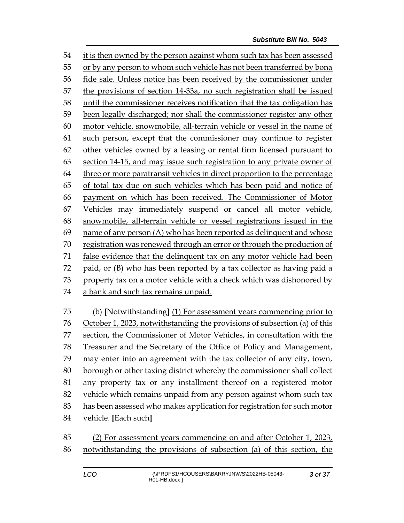it is then owned by the person against whom such tax has been assessed or by any person to whom such vehicle has not been transferred by bona fide sale. Unless notice has been received by the commissioner under the provisions of section 14-33a, no such registration shall be issued until the commissioner receives notification that the tax obligation has been legally discharged; nor shall the commissioner register any other motor vehicle, snowmobile, all-terrain vehicle or vessel in the name of such person, except that the commissioner may continue to register other vehicles owned by a leasing or rental firm licensed pursuant to section 14-15, and may issue such registration to any private owner of three or more paratransit vehicles in direct proportion to the percentage of total tax due on such vehicles which has been paid and notice of payment on which has been received. The Commissioner of Motor Vehicles may immediately suspend or cancel all motor vehicle, snowmobile, all-terrain vehicle or vessel registrations issued in the name of any person (A) who has been reported as delinquent and whose registration was renewed through an error or through the production of false evidence that the delinquent tax on any motor vehicle had been paid, or (B) who has been reported by a tax collector as having paid a 73 property tax on a motor vehicle with a check which was dishonored by a bank and such tax remains unpaid.

 (b) **[**Notwithstanding**]** (1) For assessment years commencing prior to October 1, 2023, notwithstanding the provisions of subsection (a) of this section, the Commissioner of Motor Vehicles, in consultation with the Treasurer and the Secretary of the Office of Policy and Management, may enter into an agreement with the tax collector of any city, town, borough or other taxing district whereby the commissioner shall collect any property tax or any installment thereof on a registered motor vehicle which remains unpaid from any person against whom such tax has been assessed who makes application for registration for such motor vehicle. **[**Each such**]**

 (2) For assessment years commencing on and after October 1, 2023, notwithstanding the provisions of subsection (a) of this section, the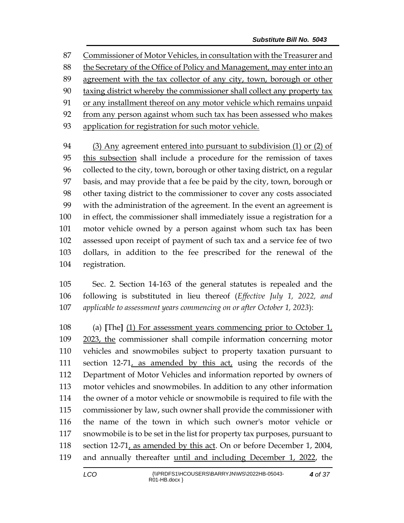Commissioner of Motor Vehicles, in consultation with the Treasurer and

88 the Secretary of the Office of Policy and Management, may enter into an

- agreement with the tax collector of any city, town, borough or other
- taxing district whereby the commissioner shall collect any property tax
- or any installment thereof on any motor vehicle which remains unpaid

from any person against whom such tax has been assessed who makes

application for registration for such motor vehicle.

 (3) Any agreement entered into pursuant to subdivision (1) or (2) of this subsection shall include a procedure for the remission of taxes collected to the city, town, borough or other taxing district, on a regular basis, and may provide that a fee be paid by the city, town, borough or other taxing district to the commissioner to cover any costs associated with the administration of the agreement. In the event an agreement is in effect, the commissioner shall immediately issue a registration for a motor vehicle owned by a person against whom such tax has been assessed upon receipt of payment of such tax and a service fee of two dollars, in addition to the fee prescribed for the renewal of the registration.

 Sec. 2. Section 14-163 of the general statutes is repealed and the following is substituted in lieu thereof (*Effective July 1, 2022, and applicable to assessment years commencing on or after October 1, 2023*):

 (a) **[**The**]** (1) For assessment years commencing prior to October 1, 2023, the commissioner shall compile information concerning motor vehicles and snowmobiles subject to property taxation pursuant to section 12-71, as amended by this act, using the records of the Department of Motor Vehicles and information reported by owners of motor vehicles and snowmobiles. In addition to any other information the owner of a motor vehicle or snowmobile is required to file with the commissioner by law, such owner shall provide the commissioner with the name of the town in which such owner's motor vehicle or snowmobile is to be set in the list for property tax purposes, pursuant to section 12-71, as amended by this act. On or before December 1, 2004, and annually thereafter until and including December 1, 2022, the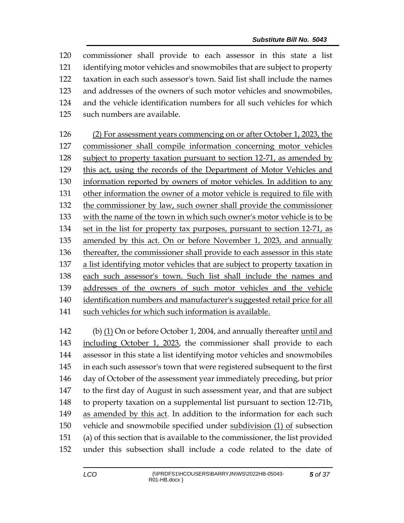commissioner shall provide to each assessor in this state a list identifying motor vehicles and snowmobiles that are subject to property taxation in each such assessor's town. Said list shall include the names and addresses of the owners of such motor vehicles and snowmobiles, and the vehicle identification numbers for all such vehicles for which such numbers are available. (2) For assessment years commencing on or after October 1, 2023, the commissioner shall compile information concerning motor vehicles subject to property taxation pursuant to section 12-71, as amended by this act, using the records of the Department of Motor Vehicles and information reported by owners of motor vehicles. In addition to any other information the owner of a motor vehicle is required to file with the commissioner by law, such owner shall provide the commissioner with the name of the town in which such owner's motor vehicle is to be set in the list for property tax purposes, pursuant to section 12-71, as amended by this act. On or before November 1, 2023, and annually thereafter, the commissioner shall provide to each assessor in this state a list identifying motor vehicles that are subject to property taxation in each such assessor's town. Such list shall include the names and addresses of the owners of such motor vehicles and the vehicle

 identification numbers and manufacturer's suggested retail price for all such vehicles for which such information is available.

 (b) (1) On or before October 1, 2004, and annually thereafter until and including October 1, 2023, the commissioner shall provide to each assessor in this state a list identifying motor vehicles and snowmobiles in each such assessor's town that were registered subsequent to the first day of October of the assessment year immediately preceding, but prior to the first day of August in such assessment year, and that are subject to property taxation on a supplemental list pursuant to section 12-71b, as amended by this act. In addition to the information for each such vehicle and snowmobile specified under subdivision (1) of subsection (a) of this section that is available to the commissioner, the list provided under this subsection shall include a code related to the date of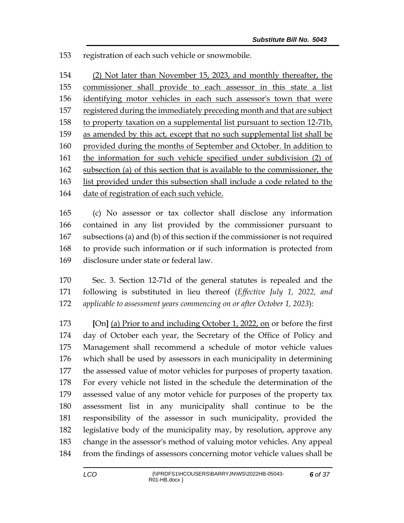registration of each such vehicle or snowmobile.

 (2) Not later than November 15, 2023, and monthly thereafter, the commissioner shall provide to each assessor in this state a list identifying motor vehicles in each such assessor's town that were 157 registered during the immediately preceding month and that are subject 158 to property taxation on a supplemental list pursuant to section 12-71b, as amended by this act, except that no such supplemental list shall be provided during the months of September and October. In addition to the information for such vehicle specified under subdivision (2) of subsection (a) of this section that is available to the commissioner, the list provided under this subsection shall include a code related to the date of registration of each such vehicle.

 (c) No assessor or tax collector shall disclose any information contained in any list provided by the commissioner pursuant to subsections (a) and (b) of this section if the commissioner is not required to provide such information or if such information is protected from disclosure under state or federal law.

 Sec. 3. Section 12-71d of the general statutes is repealed and the following is substituted in lieu thereof (*Effective July 1, 2022, and applicable to assessment years commencing on or after October 1, 2023*):

 **[**On**]** (a) Prior to and including October 1, 2022, on or before the first day of October each year, the Secretary of the Office of Policy and Management shall recommend a schedule of motor vehicle values which shall be used by assessors in each municipality in determining the assessed value of motor vehicles for purposes of property taxation. For every vehicle not listed in the schedule the determination of the assessed value of any motor vehicle for purposes of the property tax assessment list in any municipality shall continue to be the responsibility of the assessor in such municipality, provided the legislative body of the municipality may, by resolution, approve any change in the assessor's method of valuing motor vehicles. Any appeal from the findings of assessors concerning motor vehicle values shall be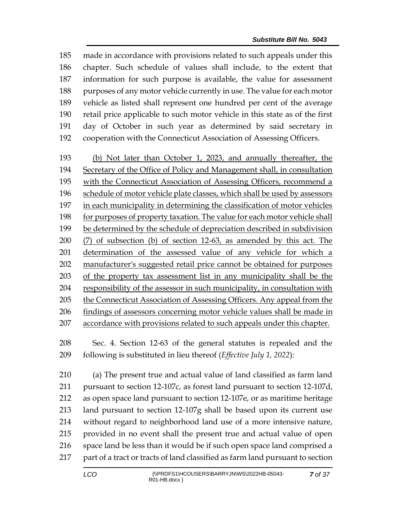made in accordance with provisions related to such appeals under this chapter. Such schedule of values shall include, to the extent that information for such purpose is available, the value for assessment 188 purposes of any motor vehicle currently in use. The value for each motor vehicle as listed shall represent one hundred per cent of the average retail price applicable to such motor vehicle in this state as of the first day of October in such year as determined by said secretary in cooperation with the Connecticut Association of Assessing Officers.

 (b) Not later than October 1, 2023, and annually thereafter, the Secretary of the Office of Policy and Management shall, in consultation 195 with the Connecticut Association of Assessing Officers, recommend a schedule of motor vehicle plate classes, which shall be used by assessors in each municipality in determining the classification of motor vehicles for purposes of property taxation. The value for each motor vehicle shall be determined by the schedule of depreciation described in subdivision (7) of subsection (b) of section 12-63, as amended by this act. The determination of the assessed value of any vehicle for which a manufacturer's suggested retail price cannot be obtained for purposes of the property tax assessment list in any municipality shall be the responsibility of the assessor in such municipality, in consultation with 205 the Connecticut Association of Assessing Officers. Any appeal from the findings of assessors concerning motor vehicle values shall be made in accordance with provisions related to such appeals under this chapter.

 Sec. 4. Section 12-63 of the general statutes is repealed and the following is substituted in lieu thereof (*Effective July 1, 2022*):

 (a) The present true and actual value of land classified as farm land pursuant to section 12-107c, as forest land pursuant to section 12-107d, as open space land pursuant to section 12-107e, or as maritime heritage land pursuant to section 12-107g shall be based upon its current use without regard to neighborhood land use of a more intensive nature, provided in no event shall the present true and actual value of open space land be less than it would be if such open space land comprised a part of a tract or tracts of land classified as farm land pursuant to section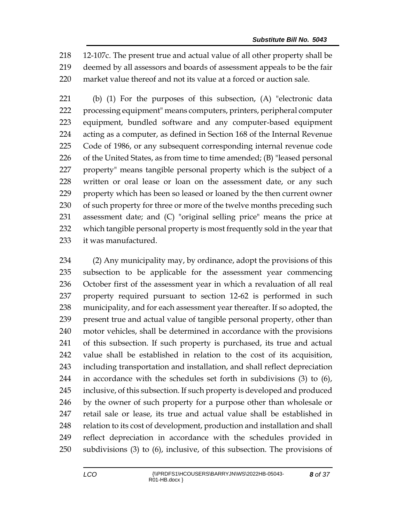12-107c. The present true and actual value of all other property shall be deemed by all assessors and boards of assessment appeals to be the fair market value thereof and not its value at a forced or auction sale.

 (b) (1) For the purposes of this subsection, (A) "electronic data processing equipment" means computers, printers, peripheral computer equipment, bundled software and any computer-based equipment acting as a computer, as defined in Section 168 of the Internal Revenue Code of 1986, or any subsequent corresponding internal revenue code of the United States, as from time to time amended; (B) "leased personal property" means tangible personal property which is the subject of a 228 written or oral lease or loan on the assessment date, or any such property which has been so leased or loaned by the then current owner 230 of such property for three or more of the twelve months preceding such assessment date; and (C) "original selling price" means the price at which tangible personal property is most frequently sold in the year that it was manufactured.

 (2) Any municipality may, by ordinance, adopt the provisions of this subsection to be applicable for the assessment year commencing October first of the assessment year in which a revaluation of all real property required pursuant to section 12-62 is performed in such municipality, and for each assessment year thereafter. If so adopted, the present true and actual value of tangible personal property, other than motor vehicles, shall be determined in accordance with the provisions of this subsection. If such property is purchased, its true and actual value shall be established in relation to the cost of its acquisition, including transportation and installation, and shall reflect depreciation in accordance with the schedules set forth in subdivisions (3) to (6), inclusive, of this subsection. If such property is developed and produced by the owner of such property for a purpose other than wholesale or retail sale or lease, its true and actual value shall be established in 248 relation to its cost of development, production and installation and shall reflect depreciation in accordance with the schedules provided in subdivisions (3) to (6), inclusive, of this subsection. The provisions of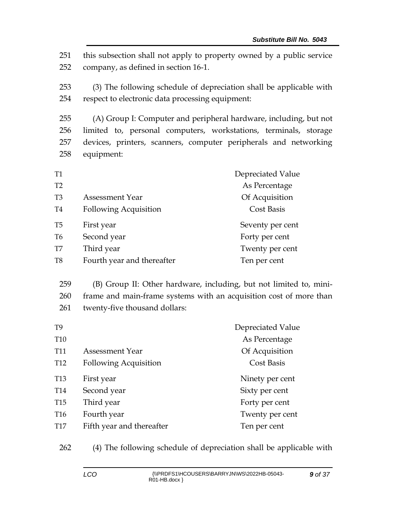251 this subsection shall not apply to property owned by a public service 252 company, as defined in section 16-1.

253 (3) The following schedule of depreciation shall be applicable with 254 respect to electronic data processing equipment:

 (A) Group I: Computer and peripheral hardware, including, but not limited to, personal computers, workstations, terminals, storage devices, printers, scanners, computer peripherals and networking equipment:

| <b>T1</b>      |                              | Depreciated Value |
|----------------|------------------------------|-------------------|
| T <sub>2</sub> |                              | As Percentage     |
| T <sub>3</sub> | <b>Assessment Year</b>       | Of Acquisition    |
| T <sub>4</sub> | <b>Following Acquisition</b> | Cost Basis        |
| T <sub>5</sub> | First year                   | Seventy per cent  |
| T <sub>6</sub> | Second year                  | Forty per cent    |
| T7             | Third year                   | Twenty per cent   |
| T <sub>8</sub> | Fourth year and thereafter   | Ten per cent      |

259 (B) Group II: Other hardware, including, but not limited to, mini-260 frame and main-frame systems with an acquisition cost of more than 261 twenty-five thousand dollars:

|                              | Depreciated Value |
|------------------------------|-------------------|
|                              | As Percentage     |
| <b>Assessment Year</b>       | Of Acquisition    |
| <b>Following Acquisition</b> | Cost Basis        |
| First year                   | Ninety per cent   |
| Second year                  | Sixty per cent    |
| Third year                   | Forty per cent    |
| Fourth year                  | Twenty per cent   |
| Fifth year and thereafter    | Ten per cent      |
|                              |                   |

262 (4) The following schedule of depreciation shall be applicable with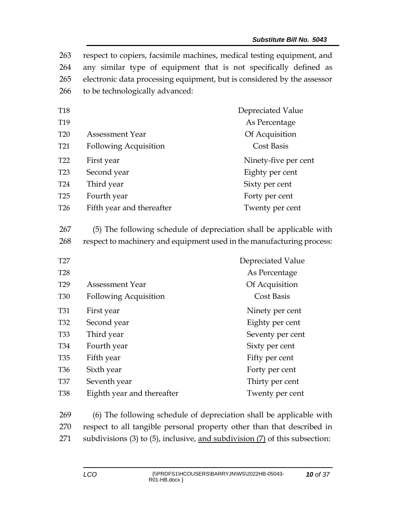| 263<br>264<br>265<br>266 | to be technologically advanced:                                                                                                              | respect to copiers, facsimile machines, medical testing equipment, and<br>any similar type of equipment that is not specifically defined as<br>electronic data processing equipment, but is considered by the assessor |
|--------------------------|----------------------------------------------------------------------------------------------------------------------------------------------|------------------------------------------------------------------------------------------------------------------------------------------------------------------------------------------------------------------------|
| <b>T18</b>               |                                                                                                                                              | Depreciated Value                                                                                                                                                                                                      |
| T19                      |                                                                                                                                              | As Percentage                                                                                                                                                                                                          |
| <b>T20</b>               | <b>Assessment Year</b>                                                                                                                       | Of Acquisition                                                                                                                                                                                                         |
| T <sub>21</sub>          | <b>Following Acquisition</b>                                                                                                                 | <b>Cost Basis</b>                                                                                                                                                                                                      |
| T <sub>22</sub>          | First year                                                                                                                                   | Ninety-five per cent                                                                                                                                                                                                   |
| T <sub>23</sub>          | Second year                                                                                                                                  | Eighty per cent                                                                                                                                                                                                        |
| <b>T24</b>               | Third year                                                                                                                                   | Sixty per cent                                                                                                                                                                                                         |
| T <sub>25</sub>          | Fourth year                                                                                                                                  | Forty per cent                                                                                                                                                                                                         |
| T <sub>26</sub>          | Fifth year and thereafter                                                                                                                    | Twenty per cent                                                                                                                                                                                                        |
| 267<br>268               | (5) The following schedule of depreciation shall be applicable with<br>respect to machinery and equipment used in the manufacturing process: |                                                                                                                                                                                                                        |
| T27                      |                                                                                                                                              | Depreciated Value                                                                                                                                                                                                      |
| <b>T28</b>               |                                                                                                                                              | As Percentage                                                                                                                                                                                                          |
| T <sub>29</sub>          | <b>Assessment Year</b>                                                                                                                       | Of Acquisition                                                                                                                                                                                                         |
| <b>T30</b>               | <b>Following Acquisition</b>                                                                                                                 | <b>Cost Basis</b>                                                                                                                                                                                                      |
| <b>T31</b>               | First year                                                                                                                                   | Ninety per cent                                                                                                                                                                                                        |
| T32                      | Second year                                                                                                                                  | Eighty per cent                                                                                                                                                                                                        |
| <b>T33</b>               | Third year                                                                                                                                   | Seventy per cent                                                                                                                                                                                                       |
| T34                      | Fourth year                                                                                                                                  | Sixty per cent                                                                                                                                                                                                         |
| <b>T35</b>               | Fifth year                                                                                                                                   | Fifty per cent                                                                                                                                                                                                         |
| T <sub>36</sub>          | Sixth year                                                                                                                                   | Forty per cent                                                                                                                                                                                                         |
| <b>T37</b>               | Seventh year                                                                                                                                 | Thirty per cent                                                                                                                                                                                                        |
| <b>T38</b>               | Eighth year and thereafter                                                                                                                   | Twenty per cent                                                                                                                                                                                                        |

269 (6) The following schedule of depreciation shall be applicable with 270 respect to all tangible personal property other than that described in 271 subdivisions (3) to (5), inclusive, and subdivision (7) of this subsection: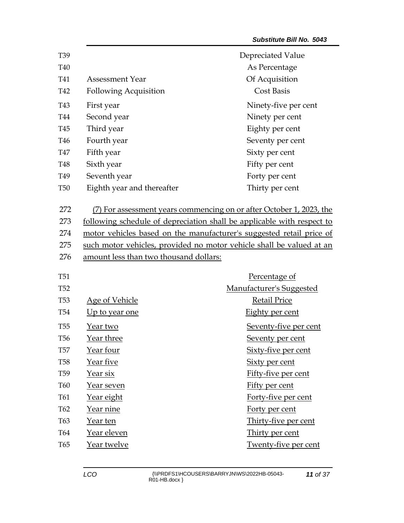| T39             |                                        | Depreciated Value                                                      |
|-----------------|----------------------------------------|------------------------------------------------------------------------|
| T40             |                                        | As Percentage                                                          |
| T41             | <b>Assessment Year</b>                 | Of Acquisition                                                         |
| T42             | <b>Following Acquisition</b>           | <b>Cost Basis</b>                                                      |
| T43             | First year                             | Ninety-five per cent                                                   |
| T44             | Second year                            | Ninety per cent                                                        |
| T45             | Third year                             | Eighty per cent                                                        |
| T46             | Fourth year                            | Seventy per cent                                                       |
| <b>T47</b>      | Fifth year                             | Sixty per cent                                                         |
| T48             | Sixth year                             | Fifty per cent                                                         |
| T49             | Seventh year                           | Forty per cent                                                         |
| <b>T50</b>      | Eighth year and thereafter             | Thirty per cent                                                        |
| 272             |                                        | (7) For assessment years commencing on or after October 1, 2023, the   |
| 273             |                                        | following schedule of depreciation shall be applicable with respect to |
| 274             |                                        | motor vehicles based on the manufacturer's suggested retail price of   |
| 275             |                                        | such motor vehicles, provided no motor vehicle shall be valued at an   |
| 276             | amount less than two thousand dollars: |                                                                        |
| <b>T51</b>      |                                        | Percentage of                                                          |
| T <sub>52</sub> |                                        | <b>Manufacturer's Suggested</b>                                        |
| <b>T53</b>      | Age of Vehicle                         | <b>Retail Price</b>                                                    |
| T <sub>54</sub> | Up to year one                         | Eighty per cent                                                        |
| <b>T55</b>      | Year two                               | Seventy-five per cent                                                  |
| T <sub>56</sub> | <u>Year three</u>                      | Seventy per cent                                                       |
| <b>T57</b>      | Year four                              | <u>Sixty-five per cent</u>                                             |
| <b>T58</b>      | Year five                              | <b>Sixty per cent</b>                                                  |
| T <sub>59</sub> | <u>Year six</u>                        | Fifty-five per cent                                                    |
| <b>T60</b>      | Year seven                             | Fifty per cent                                                         |
| T61             | <u>Year eight</u>                      | Forty-five per cent                                                    |
| T62             | <u>Year nine</u>                       | Forty per cent                                                         |
| T63             | Year ten                               | Thirty-five per cent                                                   |
| T64             | Year eleven                            | Thirty per cent                                                        |
| T65             | Year twelve                            | Twenty-five per cent                                                   |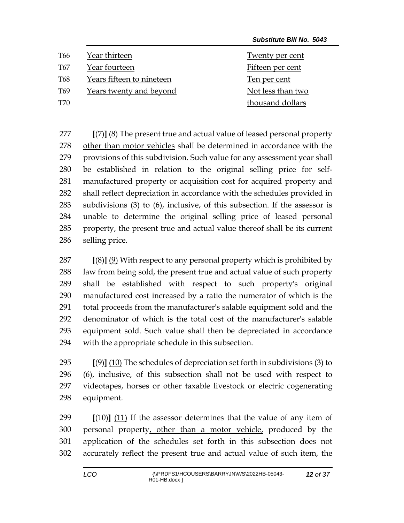| T66             | Year thirteen             | Twenty per cent   |
|-----------------|---------------------------|-------------------|
| T <sub>67</sub> | Year fourteen             | Fifteen per cent  |
| T68             | Years fifteen to nineteen | Ten per cent      |
| T <sub>69</sub> | Years twenty and beyond   | Not less than two |
| T70             |                           | thousand dollars  |

 **[**(7)**]** (8) The present true and actual value of leased personal property other than motor vehicles shall be determined in accordance with the provisions of this subdivision. Such value for any assessment year shall be established in relation to the original selling price for self- manufactured property or acquisition cost for acquired property and shall reflect depreciation in accordance with the schedules provided in subdivisions (3) to (6), inclusive, of this subsection. If the assessor is unable to determine the original selling price of leased personal property, the present true and actual value thereof shall be its current selling price.

 **[**(8)**]** (9) With respect to any personal property which is prohibited by law from being sold, the present true and actual value of such property shall be established with respect to such property's original manufactured cost increased by a ratio the numerator of which is the total proceeds from the manufacturer's salable equipment sold and the denominator of which is the total cost of the manufacturer's salable equipment sold. Such value shall then be depreciated in accordance with the appropriate schedule in this subsection.

 **[**(9)**]** (10) The schedules of depreciation set forth in subdivisions (3) to (6), inclusive, of this subsection shall not be used with respect to videotapes, horses or other taxable livestock or electric cogenerating equipment.

 **[**(10)**]** (11) If the assessor determines that the value of any item of 300 personal property, other than a motor vehicle, produced by the application of the schedules set forth in this subsection does not accurately reflect the present true and actual value of such item, the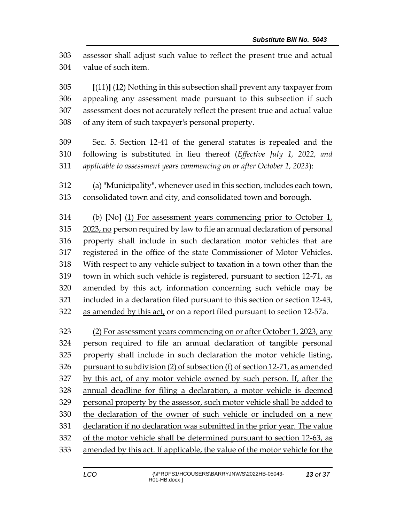assessor shall adjust such value to reflect the present true and actual value of such item.

 **[**(11)**]** (12) Nothing in this subsection shall prevent any taxpayer from appealing any assessment made pursuant to this subsection if such assessment does not accurately reflect the present true and actual value of any item of such taxpayer's personal property.

- Sec. 5. Section 12-41 of the general statutes is repealed and the following is substituted in lieu thereof (*Effective July 1, 2022, and applicable to assessment years commencing on or after October 1, 2023*):
- (a) "Municipality", whenever used in this section, includes each town, consolidated town and city, and consolidated town and borough.

 (b) **[**No**]** (1) For assessment years commencing prior to October 1, 2023, no person required by law to file an annual declaration of personal property shall include in such declaration motor vehicles that are registered in the office of the state Commissioner of Motor Vehicles. With respect to any vehicle subject to taxation in a town other than the town in which such vehicle is registered, pursuant to section 12-71, as amended by this act, information concerning such vehicle may be included in a declaration filed pursuant to this section or section 12-43, 322 as amended by this act, or on a report filed pursuant to section 12-57a.

 (2) For assessment years commencing on or after October 1, 2023, any person required to file an annual declaration of tangible personal property shall include in such declaration the motor vehicle listing, pursuant to subdivision (2) of subsection (f) of section 12-71, as amended by this act, of any motor vehicle owned by such person. If, after the annual deadline for filing a declaration, a motor vehicle is deemed personal property by the assessor, such motor vehicle shall be added to the declaration of the owner of such vehicle or included on a new declaration if no declaration was submitted in the prior year. The value of the motor vehicle shall be determined pursuant to section 12-63, as amended by this act. If applicable, the value of the motor vehicle for the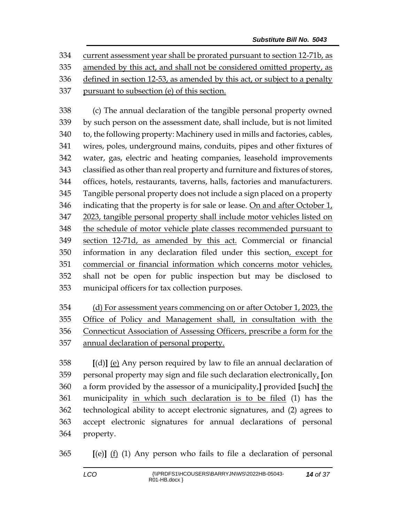current assessment year shall be prorated pursuant to section 12-71b, as amended by this act, and shall not be considered omitted property, as defined in section 12-53, as amended by this act, or subject to a penalty pursuant to subsection (e) of this section.

 (c) The annual declaration of the tangible personal property owned by such person on the assessment date, shall include, but is not limited to, the following property: Machinery used in mills and factories, cables, wires, poles, underground mains, conduits, pipes and other fixtures of water, gas, electric and heating companies, leasehold improvements classified as other than real property and furniture and fixtures of stores, offices, hotels, restaurants, taverns, halls, factories and manufacturers. Tangible personal property does not include a sign placed on a property 346 indicating that the property is for sale or lease. On and after October  $1<sub>t</sub>$  2023, tangible personal property shall include motor vehicles listed on the schedule of motor vehicle plate classes recommended pursuant to section 12-71d, as amended by this act. Commercial or financial information in any declaration filed under this section, except for commercial or financial information which concerns motor vehicles, shall not be open for public inspection but may be disclosed to municipal officers for tax collection purposes.

 (d) For assessment years commencing on or after October 1, 2023, the Office of Policy and Management shall, in consultation with the Connecticut Association of Assessing Officers, prescribe a form for the annual declaration of personal property.

 **[**(d)**]** (e) Any person required by law to file an annual declaration of personal property may sign and file such declaration electronically, **[**on a form provided by the assessor of a municipality,**]** provided **[**such**]** the municipality in which such declaration is to be filed (1) has the technological ability to accept electronic signatures, and (2) agrees to accept electronic signatures for annual declarations of personal property.

**[**(e)**]** (f) (1) Any person who fails to file a declaration of personal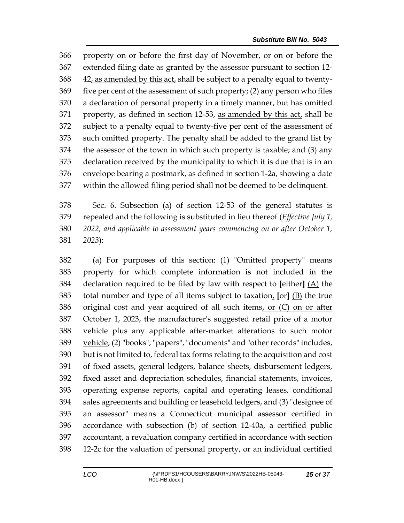property on or before the first day of November, or on or before the extended filing date as granted by the assessor pursuant to section 12- 42, as amended by this act, shall be subject to a penalty equal to twenty- five per cent of the assessment of such property; (2) any person who files a declaration of personal property in a timely manner, but has omitted 371 property, as defined in section 12-53, as amended by this act, shall be subject to a penalty equal to twenty-five per cent of the assessment of such omitted property. The penalty shall be added to the grand list by the assessor of the town in which such property is taxable; and (3) any declaration received by the municipality to which it is due that is in an envelope bearing a postmark, as defined in section 1-2a, showing a date within the allowed filing period shall not be deemed to be delinquent.

 Sec. 6. Subsection (a) of section 12-53 of the general statutes is repealed and the following is substituted in lieu thereof (*Effective July 1, 2022, and applicable to assessment years commencing on or after October 1, 2023*):

 (a) For purposes of this section: (1) "Omitted property" means property for which complete information is not included in the declaration required to be filed by law with respect to **[**either**]** (A) the total number and type of all items subject to taxation, **[**or**]** (B) the true original cost and year acquired of all such items, or (C) on or after October 1, 2023, the manufacturer's suggested retail price of a motor vehicle plus any applicable after-market alterations to such motor vehicle, (2) "books", "papers", "documents" and "other records" includes, but is not limited to, federal tax forms relating to the acquisition and cost of fixed assets, general ledgers, balance sheets, disbursement ledgers, fixed asset and depreciation schedules, financial statements, invoices, operating expense reports, capital and operating leases, conditional sales agreements and building or leasehold ledgers, and (3) "designee of an assessor" means a Connecticut municipal assessor certified in accordance with subsection (b) of section 12-40a, a certified public accountant, a revaluation company certified in accordance with section 12-2c for the valuation of personal property, or an individual certified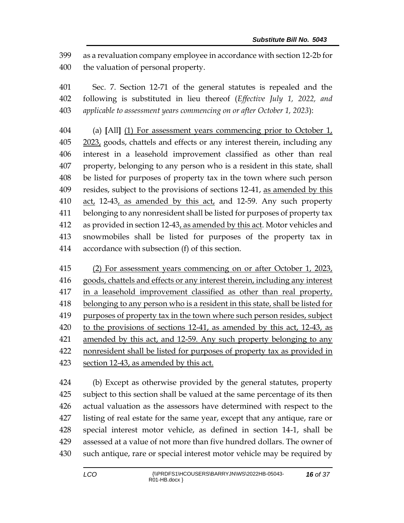as a revaluation company employee in accordance with section 12-2b for the valuation of personal property.

 Sec. 7. Section 12-71 of the general statutes is repealed and the following is substituted in lieu thereof (*Effective July 1, 2022, and applicable to assessment years commencing on or after October 1, 2023*):

 (a) **[**All**]** (1) For assessment years commencing prior to October 1, 2023, goods, chattels and effects or any interest therein, including any interest in a leasehold improvement classified as other than real property, belonging to any person who is a resident in this state, shall be listed for purposes of property tax in the town where such person resides, subject to the provisions of sections 12-41, as amended by this act, 12-43, as amended by this act, and 12-59. Any such property belonging to any nonresident shall be listed for purposes of property tax 412 as provided in section 12-43, as amended by this act. Motor vehicles and snowmobiles shall be listed for purposes of the property tax in accordance with subsection (f) of this section.

 (2) For assessment years commencing on or after October 1, 2023, goods, chattels and effects or any interest therein, including any interest in a leasehold improvement classified as other than real property, belonging to any person who is a resident in this state, shall be listed for 419 purposes of property tax in the town where such person resides, subject to the provisions of sections 12-41, as amended by this act, 12-43, as amended by this act, and 12-59. Any such property belonging to any nonresident shall be listed for purposes of property tax as provided in section 12-43, as amended by this act.

 (b) Except as otherwise provided by the general statutes, property subject to this section shall be valued at the same percentage of its then actual valuation as the assessors have determined with respect to the listing of real estate for the same year, except that any antique, rare or special interest motor vehicle, as defined in section 14-1, shall be assessed at a value of not more than five hundred dollars. The owner of such antique, rare or special interest motor vehicle may be required by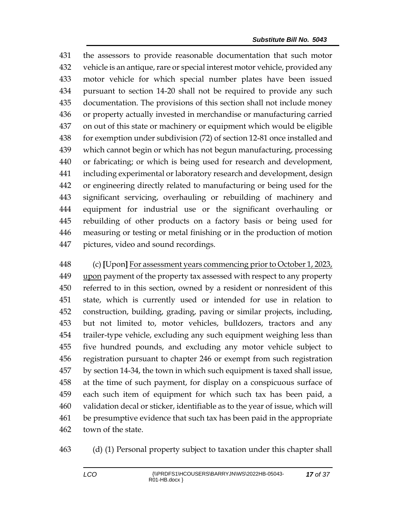the assessors to provide reasonable documentation that such motor vehicle is an antique, rare or special interest motor vehicle, provided any motor vehicle for which special number plates have been issued pursuant to section 14-20 shall not be required to provide any such documentation. The provisions of this section shall not include money or property actually invested in merchandise or manufacturing carried on out of this state or machinery or equipment which would be eligible for exemption under subdivision (72) of section 12-81 once installed and which cannot begin or which has not begun manufacturing, processing or fabricating; or which is being used for research and development, including experimental or laboratory research and development, design or engineering directly related to manufacturing or being used for the significant servicing, overhauling or rebuilding of machinery and equipment for industrial use or the significant overhauling or rebuilding of other products on a factory basis or being used for measuring or testing or metal finishing or in the production of motion pictures, video and sound recordings.

 (c) **[**Upon**]** For assessment years commencing prior to October 1, 2023, upon payment of the property tax assessed with respect to any property referred to in this section, owned by a resident or nonresident of this state, which is currently used or intended for use in relation to construction, building, grading, paving or similar projects, including, but not limited to, motor vehicles, bulldozers, tractors and any trailer-type vehicle, excluding any such equipment weighing less than five hundred pounds, and excluding any motor vehicle subject to registration pursuant to chapter 246 or exempt from such registration by section 14-34, the town in which such equipment is taxed shall issue, at the time of such payment, for display on a conspicuous surface of each such item of equipment for which such tax has been paid, a validation decal or sticker, identifiable as to the year of issue, which will be presumptive evidence that such tax has been paid in the appropriate town of the state.

(d) (1) Personal property subject to taxation under this chapter shall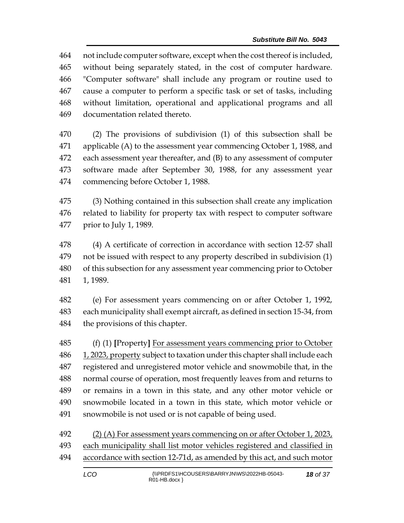not include computer software, except when the cost thereof is included, without being separately stated, in the cost of computer hardware. "Computer software" shall include any program or routine used to cause a computer to perform a specific task or set of tasks, including without limitation, operational and applicational programs and all documentation related thereto.

 (2) The provisions of subdivision (1) of this subsection shall be applicable (A) to the assessment year commencing October 1, 1988, and each assessment year thereafter, and (B) to any assessment of computer software made after September 30, 1988, for any assessment year commencing before October 1, 1988.

 (3) Nothing contained in this subsection shall create any implication related to liability for property tax with respect to computer software prior to July 1, 1989.

 (4) A certificate of correction in accordance with section 12-57 shall not be issued with respect to any property described in subdivision (1) of this subsection for any assessment year commencing prior to October 1, 1989.

 (e) For assessment years commencing on or after October 1, 1992, each municipality shall exempt aircraft, as defined in section 15-34, from the provisions of this chapter.

 (f) (1) **[**Property**]** For assessment years commencing prior to October 486 1, 2023, property subject to taxation under this chapter shall include each registered and unregistered motor vehicle and snowmobile that, in the normal course of operation, most frequently leaves from and returns to or remains in a town in this state, and any other motor vehicle or snowmobile located in a town in this state, which motor vehicle or snowmobile is not used or is not capable of being used.

 (2) (A) For assessment years commencing on or after October 1, 2023, each municipality shall list motor vehicles registered and classified in accordance with section 12-71d, as amended by this act, and such motor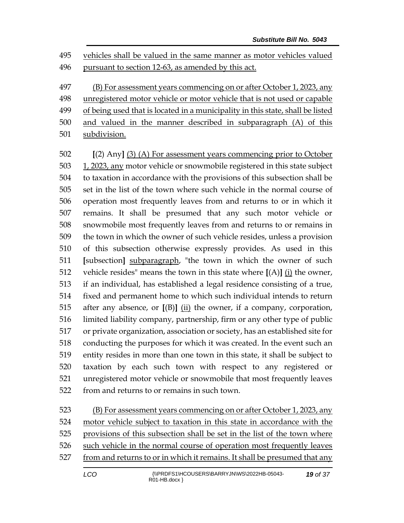vehicles shall be valued in the same manner as motor vehicles valued 496 pursuant to section 12-63, as amended by this act.

 (B) For assessment years commencing on or after October 1, 2023, any unregistered motor vehicle or motor vehicle that is not used or capable 499 of being used that is located in a municipality in this state, shall be listed

- and valued in the manner described in subparagraph (A) of this
- subdivision.

 **[**(2) Any**]** (3) (A) For assessment years commencing prior to October 1, 2023, any motor vehicle or snowmobile registered in this state subject to taxation in accordance with the provisions of this subsection shall be set in the list of the town where such vehicle in the normal course of operation most frequently leaves from and returns to or in which it remains. It shall be presumed that any such motor vehicle or snowmobile most frequently leaves from and returns to or remains in the town in which the owner of such vehicle resides, unless a provision of this subsection otherwise expressly provides. As used in this **[**subsection**]** subparagraph, "the town in which the owner of such vehicle resides" means the town in this state where **[**(A)**]** (i) the owner, if an individual, has established a legal residence consisting of a true, fixed and permanent home to which such individual intends to return after any absence, or **[**(B)**]** (ii) the owner, if a company, corporation, limited liability company, partnership, firm or any other type of public or private organization, association or society, has an established site for conducting the purposes for which it was created. In the event such an entity resides in more than one town in this state, it shall be subject to taxation by each such town with respect to any registered or unregistered motor vehicle or snowmobile that most frequently leaves from and returns to or remains in such town.

523 (B) For assessment years commencing on or after October 1, 2023, any motor vehicle subject to taxation in this state in accordance with the provisions of this subsection shall be set in the list of the town where such vehicle in the normal course of operation most frequently leaves from and returns to or in which it remains. It shall be presumed that any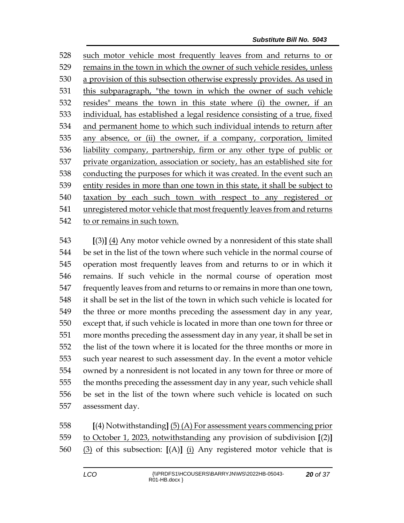such motor vehicle most frequently leaves from and returns to or 529 remains in the town in which the owner of such vehicle resides, unless a provision of this subsection otherwise expressly provides. As used in this subparagraph, "the town in which the owner of such vehicle resides" means the town in this state where (i) the owner, if an individual, has established a legal residence consisting of a true, fixed and permanent home to which such individual intends to return after any absence, or (ii) the owner, if a company, corporation, limited liability company, partnership, firm or any other type of public or private organization, association or society, has an established site for conducting the purposes for which it was created. In the event such an entity resides in more than one town in this state, it shall be subject to taxation by each such town with respect to any registered or unregistered motor vehicle that most frequently leaves from and returns to or remains in such town.

 **[**(3)**]** (4) Any motor vehicle owned by a nonresident of this state shall be set in the list of the town where such vehicle in the normal course of operation most frequently leaves from and returns to or in which it remains. If such vehicle in the normal course of operation most frequently leaves from and returns to or remains in more than one town, it shall be set in the list of the town in which such vehicle is located for the three or more months preceding the assessment day in any year, except that, if such vehicle is located in more than one town for three or more months preceding the assessment day in any year, it shall be set in the list of the town where it is located for the three months or more in such year nearest to such assessment day. In the event a motor vehicle owned by a nonresident is not located in any town for three or more of the months preceding the assessment day in any year, such vehicle shall be set in the list of the town where such vehicle is located on such assessment day.

 **[**(4) Notwithstanding**]** (5) (A) For assessment years commencing prior to October 1, 2023, notwithstanding any provision of subdivision **[**(2)**]** (3) of this subsection: **[**(A)**]** (i) Any registered motor vehicle that is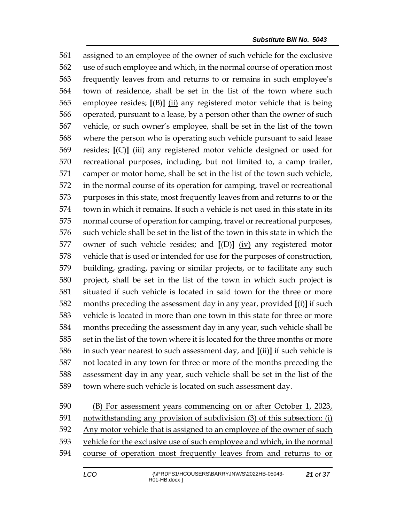assigned to an employee of the owner of such vehicle for the exclusive use of such employee and which, in the normal course of operation most frequently leaves from and returns to or remains in such employee's town of residence, shall be set in the list of the town where such employee resides; **[**(B)**]** (ii) any registered motor vehicle that is being operated, pursuant to a lease, by a person other than the owner of such vehicle, or such owner's employee, shall be set in the list of the town where the person who is operating such vehicle pursuant to said lease resides; **[**(C)**]** (iii) any registered motor vehicle designed or used for recreational purposes, including, but not limited to, a camp trailer, camper or motor home, shall be set in the list of the town such vehicle, in the normal course of its operation for camping, travel or recreational purposes in this state, most frequently leaves from and returns to or the town in which it remains. If such a vehicle is not used in this state in its normal course of operation for camping, travel or recreational purposes, such vehicle shall be set in the list of the town in this state in which the owner of such vehicle resides; and **[**(D)**]** (iv) any registered motor vehicle that is used or intended for use for the purposes of construction, building, grading, paving or similar projects, or to facilitate any such project, shall be set in the list of the town in which such project is situated if such vehicle is located in said town for the three or more months preceding the assessment day in any year, provided **[**(i)**]** if such vehicle is located in more than one town in this state for three or more months preceding the assessment day in any year, such vehicle shall be set in the list of the town where it is located for the three months or more in such year nearest to such assessment day, and **[**(ii)**]** if such vehicle is not located in any town for three or more of the months preceding the assessment day in any year, such vehicle shall be set in the list of the town where such vehicle is located on such assessment day.

590 (B) For assessment years commencing on or after October 1, 2023, notwithstanding any provision of subdivision (3) of this subsection: (i) Any motor vehicle that is assigned to an employee of the owner of such vehicle for the exclusive use of such employee and which, in the normal course of operation most frequently leaves from and returns to or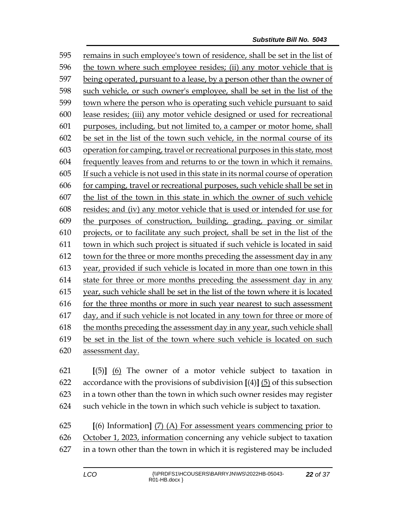remains in such employee's town of residence, shall be set in the list of the town where such employee resides; (ii) any motor vehicle that is being operated, pursuant to a lease, by a person other than the owner of such vehicle, or such owner's employee, shall be set in the list of the town where the person who is operating such vehicle pursuant to said lease resides; (iii) any motor vehicle designed or used for recreational purposes, including, but not limited to, a camper or motor home, shall be set in the list of the town such vehicle, in the normal course of its operation for camping, travel or recreational purposes in this state, most frequently leaves from and returns to or the town in which it remains. If such a vehicle is not used in this state in its normal course of operation for camping, travel or recreational purposes, such vehicle shall be set in the list of the town in this state in which the owner of such vehicle resides; and (iv) any motor vehicle that is used or intended for use for the purposes of construction, building, grading, paving or similar projects, or to facilitate any such project, shall be set in the list of the town in which such project is situated if such vehicle is located in said 612 town for the three or more months preceding the assessment day in any year, provided if such vehicle is located in more than one town in this state for three or more months preceding the assessment day in any year, such vehicle shall be set in the list of the town where it is located for the three months or more in such year nearest to such assessment day, and if such vehicle is not located in any town for three or more of the months preceding the assessment day in any year, such vehicle shall be set in the list of the town where such vehicle is located on such assessment day.

 **[**(5)**]** (6) The owner of a motor vehicle subject to taxation in accordance with the provisions of subdivision **[**(4)**]** (5) of this subsection in a town other than the town in which such owner resides may register such vehicle in the town in which such vehicle is subject to taxation.

 **[**(6) Information**]** (7) (A) For assessment years commencing prior to October 1, 2023, information concerning any vehicle subject to taxation in a town other than the town in which it is registered may be included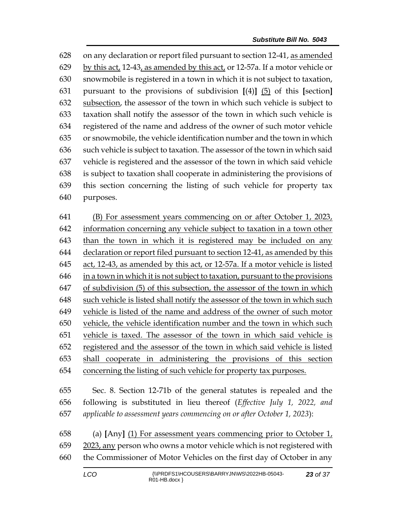on any declaration or report filed pursuant to section 12-41, as amended by this act, 12-43, as amended by this act, or 12-57a. If a motor vehicle or snowmobile is registered in a town in which it is not subject to taxation, pursuant to the provisions of subdivision **[**(4)**]** (5) of this **[**section**]** subsection, the assessor of the town in which such vehicle is subject to taxation shall notify the assessor of the town in which such vehicle is registered of the name and address of the owner of such motor vehicle or snowmobile, the vehicle identification number and the town in which such vehicle is subject to taxation. The assessor of the town in which said vehicle is registered and the assessor of the town in which said vehicle is subject to taxation shall cooperate in administering the provisions of this section concerning the listing of such vehicle for property tax purposes.

 (B) For assessment years commencing on or after October 1, 2023, information concerning any vehicle subject to taxation in a town other than the town in which it is registered may be included on any declaration or report filed pursuant to section 12-41, as amended by this act, 12-43, as amended by this act, or 12-57a. If a motor vehicle is listed in a town in which it is not subject to taxation, pursuant to the provisions of subdivision (5) of this subsection, the assessor of the town in which such vehicle is listed shall notify the assessor of the town in which such vehicle is listed of the name and address of the owner of such motor vehicle, the vehicle identification number and the town in which such vehicle is taxed. The assessor of the town in which said vehicle is registered and the assessor of the town in which said vehicle is listed shall cooperate in administering the provisions of this section concerning the listing of such vehicle for property tax purposes.

 Sec. 8. Section 12-71b of the general statutes is repealed and the following is substituted in lieu thereof (*Effective July 1, 2022, and applicable to assessment years commencing on or after October 1, 2023*):

 (a) **[**Any**]** (1) For assessment years commencing prior to October 1, 2023, any person who owns a motor vehicle which is not registered with the Commissioner of Motor Vehicles on the first day of October in any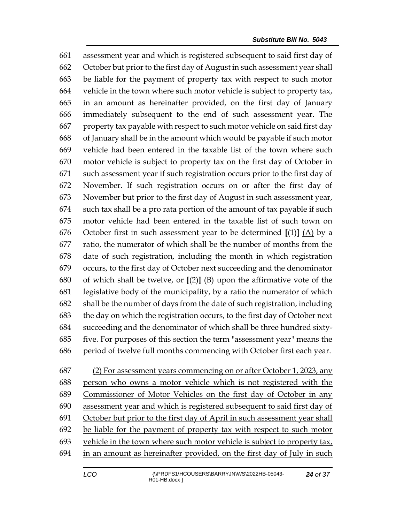assessment year and which is registered subsequent to said first day of October but prior to the first day of August in such assessment year shall be liable for the payment of property tax with respect to such motor vehicle in the town where such motor vehicle is subject to property tax, in an amount as hereinafter provided, on the first day of January immediately subsequent to the end of such assessment year. The property tax payable with respect to such motor vehicle on said first day of January shall be in the amount which would be payable if such motor vehicle had been entered in the taxable list of the town where such motor vehicle is subject to property tax on the first day of October in such assessment year if such registration occurs prior to the first day of November. If such registration occurs on or after the first day of November but prior to the first day of August in such assessment year, such tax shall be a pro rata portion of the amount of tax payable if such motor vehicle had been entered in the taxable list of such town on October first in such assessment year to be determined **[**(1)**]** (A) by a ratio, the numerator of which shall be the number of months from the date of such registration, including the month in which registration occurs, to the first day of October next succeeding and the denominator of which shall be twelve, or **[**(2)**]** (B) upon the affirmative vote of the legislative body of the municipality, by a ratio the numerator of which shall be the number of days from the date of such registration, including the day on which the registration occurs, to the first day of October next succeeding and the denominator of which shall be three hundred sixty- five. For purposes of this section the term "assessment year" means the period of twelve full months commencing with October first each year.

(2) For assessment years commencing on or after October 1, 2023, any

 person who owns a motor vehicle which is not registered with the Commissioner of Motor Vehicles on the first day of October in any assessment year and which is registered subsequent to said first day of October but prior to the first day of April in such assessment year shall be liable for the payment of property tax with respect to such motor vehicle in the town where such motor vehicle is subject to property tax, in an amount as hereinafter provided, on the first day of July in such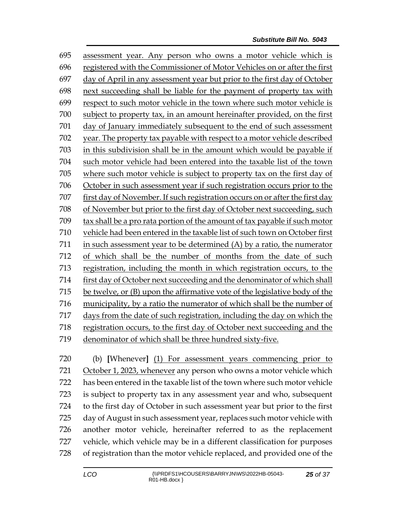assessment year. Any person who owns a motor vehicle which is registered with the Commissioner of Motor Vehicles on or after the first day of April in any assessment year but prior to the first day of October next succeeding shall be liable for the payment of property tax with respect to such motor vehicle in the town where such motor vehicle is subject to property tax, in an amount hereinafter provided, on the first day of January immediately subsequent to the end of such assessment year. The property tax payable with respect to a motor vehicle described in this subdivision shall be in the amount which would be payable if such motor vehicle had been entered into the taxable list of the town where such motor vehicle is subject to property tax on the first day of October in such assessment year if such registration occurs prior to the first day of November. If such registration occurs on or after the first day of November but prior to the first day of October next succeeding, such tax shall be a pro rata portion of the amount of tax payable if such motor vehicle had been entered in the taxable list of such town on October first in such assessment year to be determined (A) by a ratio, the numerator of which shall be the number of months from the date of such registration, including the month in which registration occurs, to the first day of October next succeeding and the denominator of which shall be twelve, or (B) upon the affirmative vote of the legislative body of the municipality, by a ratio the numerator of which shall be the number of days from the date of such registration, including the day on which the registration occurs, to the first day of October next succeeding and the denominator of which shall be three hundred sixty-five.

 (b) **[**Whenever**]** (1) For assessment years commencing prior to October 1, 2023, whenever any person who owns a motor vehicle which has been entered in the taxable list of the town where such motor vehicle is subject to property tax in any assessment year and who, subsequent to the first day of October in such assessment year but prior to the first day of August in such assessment year, replaces such motor vehicle with another motor vehicle, hereinafter referred to as the replacement vehicle, which vehicle may be in a different classification for purposes of registration than the motor vehicle replaced, and provided one of the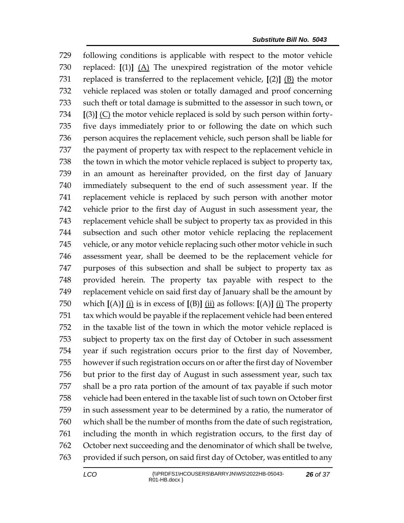following conditions is applicable with respect to the motor vehicle replaced: **[**(1)**]** (A) The unexpired registration of the motor vehicle replaced is transferred to the replacement vehicle, **[**(2)**]** (B) the motor vehicle replaced was stolen or totally damaged and proof concerning 733 such theft or total damage is submitted to the assessor in such town, or **[**(3)**]** (C) the motor vehicle replaced is sold by such person within forty- five days immediately prior to or following the date on which such person acquires the replacement vehicle, such person shall be liable for the payment of property tax with respect to the replacement vehicle in the town in which the motor vehicle replaced is subject to property tax, in an amount as hereinafter provided, on the first day of January immediately subsequent to the end of such assessment year. If the replacement vehicle is replaced by such person with another motor vehicle prior to the first day of August in such assessment year, the replacement vehicle shall be subject to property tax as provided in this subsection and such other motor vehicle replacing the replacement vehicle, or any motor vehicle replacing such other motor vehicle in such assessment year, shall be deemed to be the replacement vehicle for purposes of this subsection and shall be subject to property tax as provided herein. The property tax payable with respect to the replacement vehicle on said first day of January shall be the amount by which **[**(A)**]** (i) is in excess of **[**(B)**]** (ii) as follows: **[**(A)**]** (i) The property tax which would be payable if the replacement vehicle had been entered in the taxable list of the town in which the motor vehicle replaced is subject to property tax on the first day of October in such assessment year if such registration occurs prior to the first day of November, however if such registration occurs on or after the first day of November but prior to the first day of August in such assessment year, such tax shall be a pro rata portion of the amount of tax payable if such motor vehicle had been entered in the taxable list of such town on October first in such assessment year to be determined by a ratio, the numerator of which shall be the number of months from the date of such registration, including the month in which registration occurs, to the first day of October next succeeding and the denominator of which shall be twelve, provided if such person, on said first day of October, was entitled to any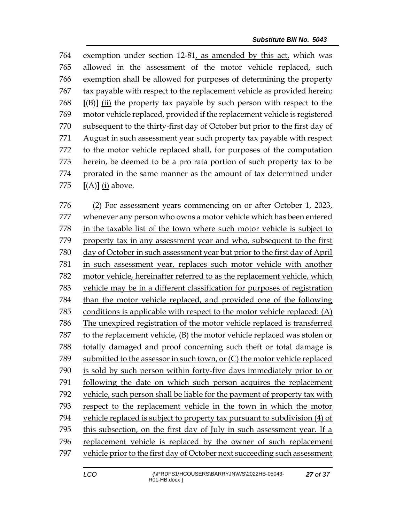exemption under section 12-81, as amended by this act, which was allowed in the assessment of the motor vehicle replaced, such exemption shall be allowed for purposes of determining the property tax payable with respect to the replacement vehicle as provided herein; **[**(B)**]** (ii) the property tax payable by such person with respect to the motor vehicle replaced, provided if the replacement vehicle is registered subsequent to the thirty-first day of October but prior to the first day of August in such assessment year such property tax payable with respect to the motor vehicle replaced shall, for purposes of the computation herein, be deemed to be a pro rata portion of such property tax to be prorated in the same manner as the amount of tax determined under **[**(A)**]** (i) above.

 (2) For assessment years commencing on or after October 1, 2023, whenever any person who owns a motor vehicle which has been entered in the taxable list of the town where such motor vehicle is subject to property tax in any assessment year and who, subsequent to the first day of October in such assessment year but prior to the first day of April in such assessment year, replaces such motor vehicle with another motor vehicle, hereinafter referred to as the replacement vehicle, which vehicle may be in a different classification for purposes of registration than the motor vehicle replaced, and provided one of the following conditions is applicable with respect to the motor vehicle replaced: (A) The unexpired registration of the motor vehicle replaced is transferred to the replacement vehicle, (B) the motor vehicle replaced was stolen or totally damaged and proof concerning such theft or total damage is submitted to the assessor in such town, or (C) the motor vehicle replaced is sold by such person within forty-five days immediately prior to or following the date on which such person acquires the replacement vehicle, such person shall be liable for the payment of property tax with respect to the replacement vehicle in the town in which the motor vehicle replaced is subject to property tax pursuant to subdivision (4) of this subsection, on the first day of July in such assessment year. If a replacement vehicle is replaced by the owner of such replacement vehicle prior to the first day of October next succeeding such assessment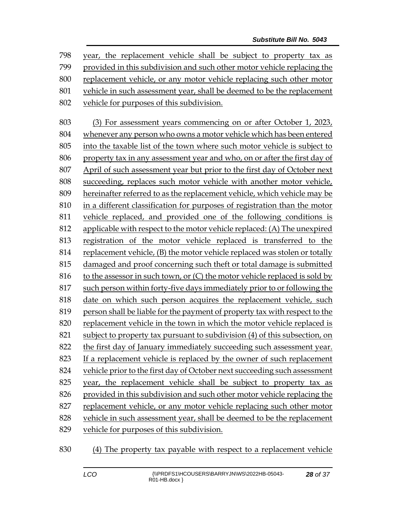year, the replacement vehicle shall be subject to property tax as provided in this subdivision and such other motor vehicle replacing the replacement vehicle, or any motor vehicle replacing such other motor vehicle in such assessment year, shall be deemed to be the replacement vehicle for purposes of this subdivision.

 (3) For assessment years commencing on or after October 1, 2023, whenever any person who owns a motor vehicle which has been entered into the taxable list of the town where such motor vehicle is subject to property tax in any assessment year and who, on or after the first day of April of such assessment year but prior to the first day of October next succeeding, replaces such motor vehicle with another motor vehicle, hereinafter referred to as the replacement vehicle, which vehicle may be in a different classification for purposes of registration than the motor vehicle replaced, and provided one of the following conditions is applicable with respect to the motor vehicle replaced: (A) The unexpired registration of the motor vehicle replaced is transferred to the replacement vehicle, (B) the motor vehicle replaced was stolen or totally damaged and proof concerning such theft or total damage is submitted 816 to the assessor in such town, or  $(C)$  the motor vehicle replaced is sold by such person within forty-five days immediately prior to or following the date on which such person acquires the replacement vehicle, such person shall be liable for the payment of property tax with respect to the replacement vehicle in the town in which the motor vehicle replaced is subject to property tax pursuant to subdivision (4) of this subsection, on the first day of January immediately succeeding such assessment year. If a replacement vehicle is replaced by the owner of such replacement vehicle prior to the first day of October next succeeding such assessment year, the replacement vehicle shall be subject to property tax as provided in this subdivision and such other motor vehicle replacing the replacement vehicle, or any motor vehicle replacing such other motor vehicle in such assessment year, shall be deemed to be the replacement vehicle for purposes of this subdivision.

(4) The property tax payable with respect to a replacement vehicle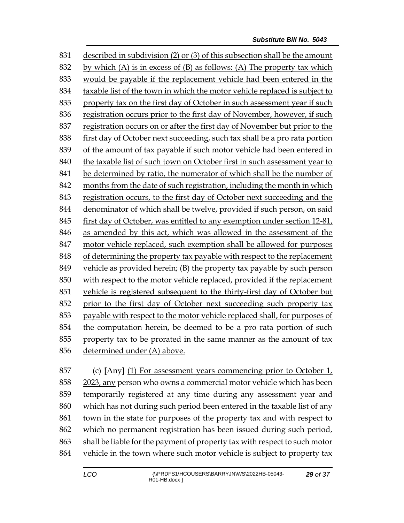described in subdivision (2) or (3) of this subsection shall be the amount 832 by which (A) is in excess of  $(B)$  as follows: (A) The property tax which would be payable if the replacement vehicle had been entered in the taxable list of the town in which the motor vehicle replaced is subject to property tax on the first day of October in such assessment year if such registration occurs prior to the first day of November, however, if such registration occurs on or after the first day of November but prior to the first day of October next succeeding, such tax shall be a pro rata portion of the amount of tax payable if such motor vehicle had been entered in 840 the taxable list of such town on October first in such assessment year to be determined by ratio, the numerator of which shall be the number of months from the date of such registration, including the month in which registration occurs, to the first day of October next succeeding and the denominator of which shall be twelve, provided if such person, on said first day of October, was entitled to any exemption under section 12-81, as amended by this act, which was allowed in the assessment of the motor vehicle replaced, such exemption shall be allowed for purposes of determining the property tax payable with respect to the replacement vehicle as provided herein; (B) the property tax payable by such person with respect to the motor vehicle replaced, provided if the replacement vehicle is registered subsequent to the thirty-first day of October but prior to the first day of October next succeeding such property tax payable with respect to the motor vehicle replaced shall, for purposes of the computation herein, be deemed to be a pro rata portion of such property tax to be prorated in the same manner as the amount of tax determined under (A) above.

 (c) **[**Any**]** (1) For assessment years commencing prior to October 1, 2023, any person who owns a commercial motor vehicle which has been temporarily registered at any time during any assessment year and which has not during such period been entered in the taxable list of any town in the state for purposes of the property tax and with respect to which no permanent registration has been issued during such period, shall be liable for the payment of property tax with respect to such motor vehicle in the town where such motor vehicle is subject to property tax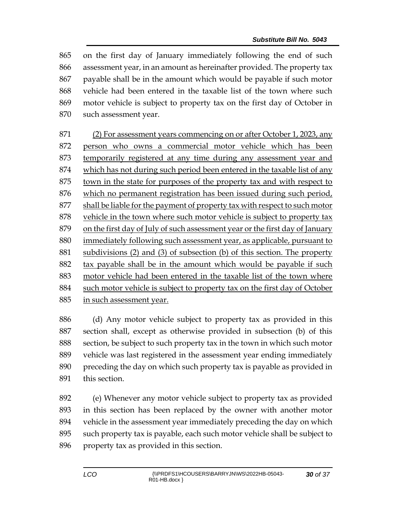on the first day of January immediately following the end of such assessment year, in an amount as hereinafter provided. The property tax payable shall be in the amount which would be payable if such motor vehicle had been entered in the taxable list of the town where such motor vehicle is subject to property tax on the first day of October in such assessment year.

 (2) For assessment years commencing on or after October 1, 2023, any 872 person who owns a commercial motor vehicle which has been temporarily registered at any time during any assessment year and which has not during such period been entered in the taxable list of any town in the state for purposes of the property tax and with respect to which no permanent registration has been issued during such period, shall be liable for the payment of property tax with respect to such motor vehicle in the town where such motor vehicle is subject to property tax on the first day of July of such assessment year or the first day of January immediately following such assessment year, as applicable, pursuant to subdivisions (2) and (3) of subsection (b) of this section. The property tax payable shall be in the amount which would be payable if such motor vehicle had been entered in the taxable list of the town where 884 such motor vehicle is subject to property tax on the first day of October in such assessment year.

 (d) Any motor vehicle subject to property tax as provided in this section shall, except as otherwise provided in subsection (b) of this section, be subject to such property tax in the town in which such motor vehicle was last registered in the assessment year ending immediately preceding the day on which such property tax is payable as provided in this section.

 (e) Whenever any motor vehicle subject to property tax as provided in this section has been replaced by the owner with another motor vehicle in the assessment year immediately preceding the day on which such property tax is payable, each such motor vehicle shall be subject to property tax as provided in this section.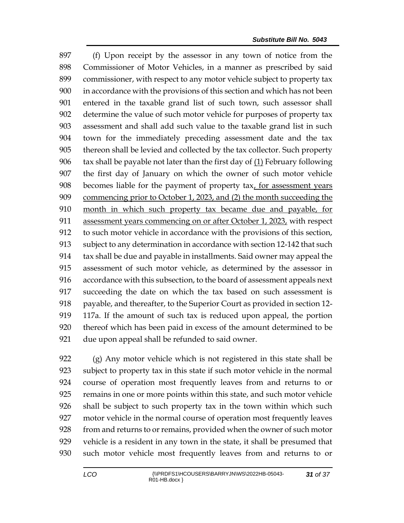(f) Upon receipt by the assessor in any town of notice from the Commissioner of Motor Vehicles, in a manner as prescribed by said commissioner, with respect to any motor vehicle subject to property tax in accordance with the provisions of this section and which has not been entered in the taxable grand list of such town, such assessor shall determine the value of such motor vehicle for purposes of property tax assessment and shall add such value to the taxable grand list in such town for the immediately preceding assessment date and the tax thereon shall be levied and collected by the tax collector. Such property  $\frac{1}{2}$  tax shall be payable not later than the first day of  $\left( \frac{1}{2} \right)$  February following the first day of January on which the owner of such motor vehicle becomes liable for the payment of property tax, for assessment years commencing prior to October 1, 2023, and (2) the month succeeding the month in which such property tax became due and payable, for 911 assessment years commencing on or after October 1, 2023, with respect to such motor vehicle in accordance with the provisions of this section, subject to any determination in accordance with section 12-142 that such tax shall be due and payable in installments. Said owner may appeal the assessment of such motor vehicle, as determined by the assessor in accordance with this subsection, to the board of assessment appeals next succeeding the date on which the tax based on such assessment is 918 payable, and thereafter, to the Superior Court as provided in section 12- 117a. If the amount of such tax is reduced upon appeal, the portion thereof which has been paid in excess of the amount determined to be due upon appeal shall be refunded to said owner.

 (g) Any motor vehicle which is not registered in this state shall be subject to property tax in this state if such motor vehicle in the normal course of operation most frequently leaves from and returns to or remains in one or more points within this state, and such motor vehicle shall be subject to such property tax in the town within which such motor vehicle in the normal course of operation most frequently leaves from and returns to or remains, provided when the owner of such motor vehicle is a resident in any town in the state, it shall be presumed that such motor vehicle most frequently leaves from and returns to or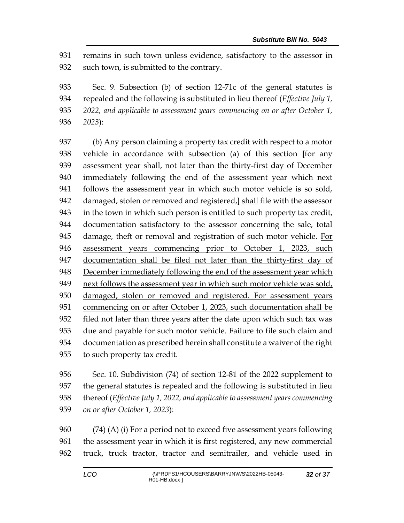remains in such town unless evidence, satisfactory to the assessor in such town, is submitted to the contrary.

 Sec. 9. Subsection (b) of section 12-71c of the general statutes is repealed and the following is substituted in lieu thereof (*Effective July 1, 2022, and applicable to assessment years commencing on or after October 1, 2023*):

 (b) Any person claiming a property tax credit with respect to a motor vehicle in accordance with subsection (a) of this section **[**for any assessment year shall, not later than the thirty-first day of December immediately following the end of the assessment year which next follows the assessment year in which such motor vehicle is so sold, damaged, stolen or removed and registered,**]** shall file with the assessor in the town in which such person is entitled to such property tax credit, documentation satisfactory to the assessor concerning the sale, total damage, theft or removal and registration of such motor vehicle. For assessment years commencing prior to October 1, 2023, such 947 documentation shall be filed not later than the thirty-first day of 948 December immediately following the end of the assessment year which next follows the assessment year in which such motor vehicle was sold, damaged, stolen or removed and registered. For assessment years commencing on or after October 1, 2023, such documentation shall be filed not later than three years after the date upon which such tax was due and payable for such motor vehicle. Failure to file such claim and documentation as prescribed herein shall constitute a waiver of the right to such property tax credit.

 Sec. 10. Subdivision (74) of section 12-81 of the 2022 supplement to the general statutes is repealed and the following is substituted in lieu thereof (*Effective July 1, 2022, and applicable to assessment years commencing on or after October 1, 2023*):

 (74) (A) (i) For a period not to exceed five assessment years following the assessment year in which it is first registered, any new commercial truck, truck tractor, tractor and semitrailer, and vehicle used in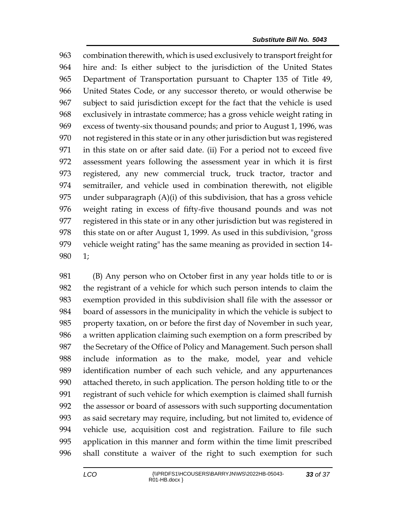combination therewith, which is used exclusively to transport freight for hire and: Is either subject to the jurisdiction of the United States Department of Transportation pursuant to Chapter 135 of Title 49, United States Code, or any successor thereto, or would otherwise be subject to said jurisdiction except for the fact that the vehicle is used exclusively in intrastate commerce; has a gross vehicle weight rating in excess of twenty-six thousand pounds; and prior to August 1, 1996, was not registered in this state or in any other jurisdiction but was registered in this state on or after said date. (ii) For a period not to exceed five assessment years following the assessment year in which it is first registered, any new commercial truck, truck tractor, tractor and semitrailer, and vehicle used in combination therewith, not eligible under subparagraph (A)(i) of this subdivision, that has a gross vehicle weight rating in excess of fifty-five thousand pounds and was not registered in this state or in any other jurisdiction but was registered in 978 this state on or after August 1, 1999. As used in this subdivision, "gross" vehicle weight rating" has the same meaning as provided in section 14- 1;

 (B) Any person who on October first in any year holds title to or is the registrant of a vehicle for which such person intends to claim the exemption provided in this subdivision shall file with the assessor or board of assessors in the municipality in which the vehicle is subject to property taxation, on or before the first day of November in such year, a written application claiming such exemption on a form prescribed by the Secretary of the Office of Policy and Management. Such person shall include information as to the make, model, year and vehicle identification number of each such vehicle, and any appurtenances attached thereto, in such application. The person holding title to or the registrant of such vehicle for which exemption is claimed shall furnish the assessor or board of assessors with such supporting documentation as said secretary may require, including, but not limited to, evidence of vehicle use, acquisition cost and registration. Failure to file such application in this manner and form within the time limit prescribed shall constitute a waiver of the right to such exemption for such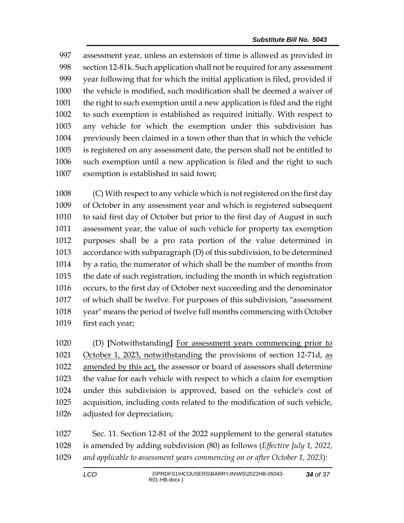assessment year, unless an extension of time is allowed as provided in section 12-81k. Such application shall not be required for any assessment year following that for which the initial application is filed, provided if the vehicle is modified, such modification shall be deemed a waiver of the right to such exemption until a new application is filed and the right to such exemption is established as required initially. With respect to any vehicle for which the exemption under this subdivision has previously been claimed in a town other than that in which the vehicle is registered on any assessment date, the person shall not be entitled to such exemption until a new application is filed and the right to such exemption is established in said town;

 (C) With respect to any vehicle which is not registered on the first day of October in any assessment year and which is registered subsequent to said first day of October but prior to the first day of August in such assessment year, the value of such vehicle for property tax exemption purposes shall be a pro rata portion of the value determined in accordance with subparagraph (D) of this subdivision, to be determined by a ratio, the numerator of which shall be the number of months from the date of such registration, including the month in which registration occurs, to the first day of October next succeeding and the denominator of which shall be twelve. For purposes of this subdivision, "assessment year" means the period of twelve full months commencing with October first each year;

 (D) **[**Notwithstanding**]** For assessment years commencing prior to 1021 October 1, 2023, notwithstanding the provisions of section 12-71d, as amended by this act, the assessor or board of assessors shall determine the value for each vehicle with respect to which a claim for exemption under this subdivision is approved, based on the vehicle's cost of acquisition, including costs related to the modification of such vehicle, adjusted for depreciation;

 Sec. 11. Section 12-81 of the 2022 supplement to the general statutes is amended by adding subdivision (80) as follows (*Effective July 1, 2022, and applicable to assessment years commencing on or after October 1, 2023*):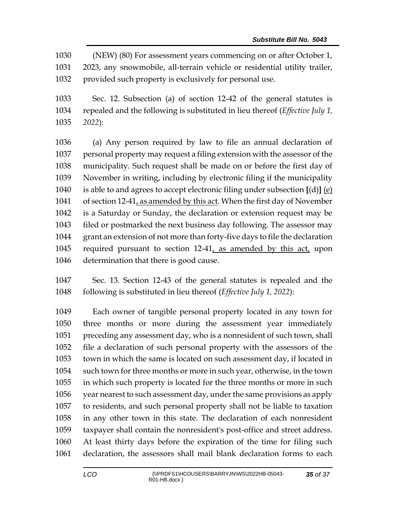(NEW) (80) For assessment years commencing on or after October 1, 2023, any snowmobile, all-terrain vehicle or residential utility trailer, provided such property is exclusively for personal use.

 Sec. 12. Subsection (a) of section 12-42 of the general statutes is repealed and the following is substituted in lieu thereof (*Effective July 1, 2022*):

 (a) Any person required by law to file an annual declaration of personal property may request a filing extension with the assessor of the municipality. Such request shall be made on or before the first day of November in writing, including by electronic filing if the municipality is able to and agrees to accept electronic filing under subsection **[**(d)**]** (e) of section 12-41, as amended by this act. When the first day of November is a Saturday or Sunday, the declaration or extension request may be filed or postmarked the next business day following. The assessor may grant an extension of not more than forty-five days to file the declaration required pursuant to section 12-41, as amended by this act, upon determination that there is good cause.

 Sec. 13. Section 12-43 of the general statutes is repealed and the following is substituted in lieu thereof (*Effective July 1, 2022*):

 Each owner of tangible personal property located in any town for three months or more during the assessment year immediately preceding any assessment day, who is a nonresident of such town, shall file a declaration of such personal property with the assessors of the town in which the same is located on such assessment day, if located in such town for three months or more in such year, otherwise, in the town in which such property is located for the three months or more in such year nearest to such assessment day, under the same provisions as apply to residents, and such personal property shall not be liable to taxation in any other town in this state. The declaration of each nonresident taxpayer shall contain the nonresident's post-office and street address. At least thirty days before the expiration of the time for filing such declaration, the assessors shall mail blank declaration forms to each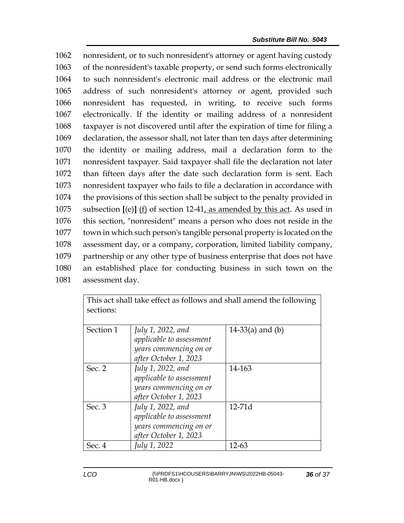nonresident, or to such nonresident's attorney or agent having custody of the nonresident's taxable property, or send such forms electronically to such nonresident's electronic mail address or the electronic mail address of such nonresident's attorney or agent, provided such nonresident has requested, in writing, to receive such forms electronically. If the identity or mailing address of a nonresident taxpayer is not discovered until after the expiration of time for filing a declaration, the assessor shall, not later than ten days after determining the identity or mailing address, mail a declaration form to the nonresident taxpayer. Said taxpayer shall file the declaration not later than fifteen days after the date such declaration form is sent. Each nonresident taxpayer who fails to file a declaration in accordance with the provisions of this section shall be subject to the penalty provided in subsection **[**(e)**]** (f) of section 12-41, as amended by this act. As used in this section, "nonresident" means a person who does not reside in the town in which such person's tangible personal property is located on the assessment day, or a company, corporation, limited liability company, partnership or any other type of business enterprise that does not have an established place for conducting business in such town on the assessment day.

| This act shall take effect as follows and shall amend the following<br>sections: |                                                                                                                           |                    |
|----------------------------------------------------------------------------------|---------------------------------------------------------------------------------------------------------------------------|--------------------|
| Section 1                                                                        | July 1, 2022, and<br>applicable to assessment<br>years commencing on or                                                   | $14-33(a)$ and (b) |
| Sec. 2                                                                           | after October 1, 2023<br>July 1, 2022, and<br>applicable to assessment<br>years commencing on or<br>after October 1, 2023 | 14-163             |
| Sec. 3                                                                           | July 1, 2022, and<br>applicable to assessment<br>years commencing on or<br>after October 1, 2023                          | $12-71d$           |
| Sec. 4                                                                           | July 1, 2022                                                                                                              | 12-63              |